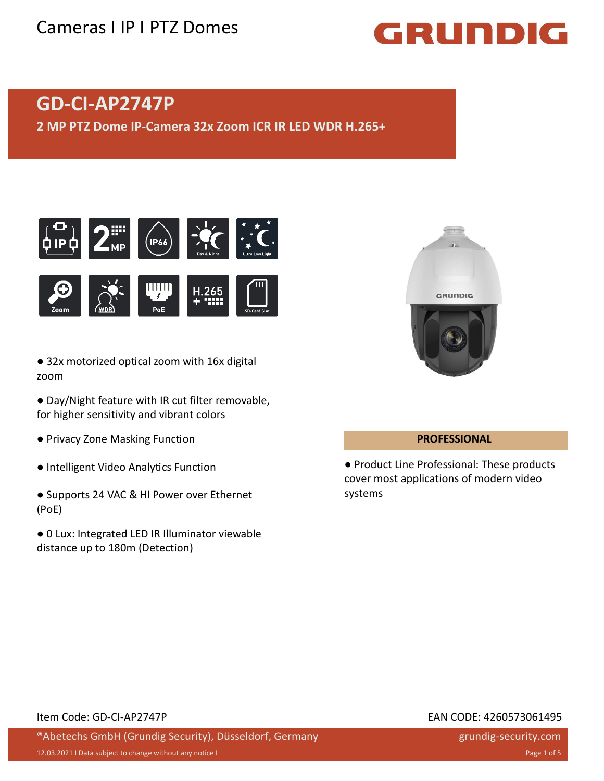

### **GD-CI-AP2747P**

**2 MP PTZ Dome IP-Camera 32x Zoom ICR IR LED WDR H.265+**





● 32x motorized optical zoom with 16x digital zoom

- Day/Night feature with IR cut filter removable, for higher sensitivity and vibrant colors
- Privacy Zone Masking Function
- Intelligent Video Analytics Function
- Supports 24 VAC & HI Power over Ethernet (PoE)
- 0 Lux: Integrated LED IR Illuminator viewable distance up to 180m (Detection)



### **PROFESSIONAL**

● Product Line Professional: These products cover most applications of modern video systems

#### Item Code: GD-CI-AP2747P EAN CODE: 4260573061495

#### ®Abetechs GmbH (Grundig Security), Düsseldorf, Germany

grundig-security.com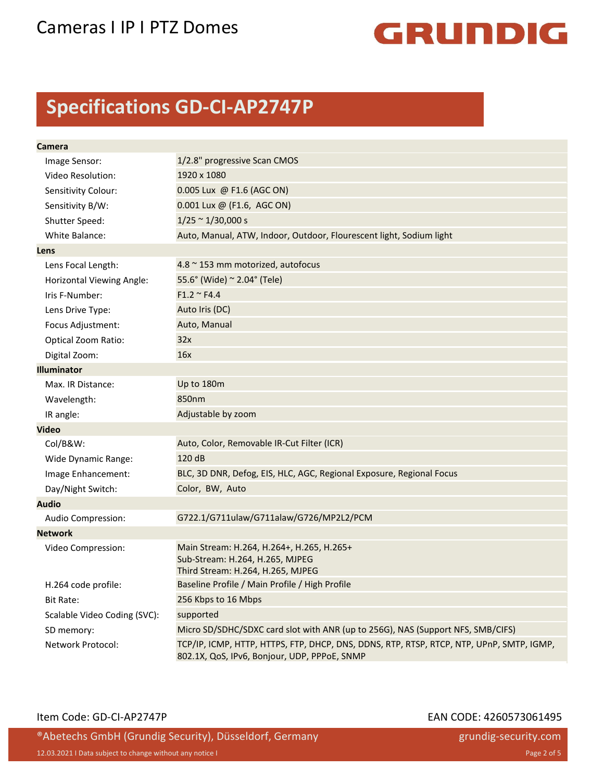# GRUNDIG

## **Specifications GD-CI-AP2747P**

| Camera                       |                                                                                                                                          |
|------------------------------|------------------------------------------------------------------------------------------------------------------------------------------|
| Image Sensor:                | 1/2.8" progressive Scan CMOS                                                                                                             |
| Video Resolution:            | 1920 x 1080                                                                                                                              |
| Sensitivity Colour:          | 0.005 Lux @ F1.6 (AGC ON)                                                                                                                |
| Sensitivity B/W:             | 0.001 Lux @ (F1.6, AGC ON)                                                                                                               |
| Shutter Speed:               | $1/25 \approx 1/30,000 s$                                                                                                                |
| White Balance:               | Auto, Manual, ATW, Indoor, Outdoor, Flourescent light, Sodium light                                                                      |
| Lens                         |                                                                                                                                          |
| Lens Focal Length:           | 4.8 ~ 153 mm motorized, autofocus                                                                                                        |
| Horizontal Viewing Angle:    | 55.6° (Wide) ~ 2.04° (Tele)                                                                                                              |
| Iris F-Number:               | $F1.2 \sim F4.4$                                                                                                                         |
| Lens Drive Type:             | Auto Iris (DC)                                                                                                                           |
| Focus Adjustment:            | Auto, Manual                                                                                                                             |
| Optical Zoom Ratio:          | 32x                                                                                                                                      |
| Digital Zoom:                | 16x                                                                                                                                      |
| <b>Illuminator</b>           |                                                                                                                                          |
| Max. IR Distance:            | Up to 180m                                                                                                                               |
| Wavelength:                  | 850nm                                                                                                                                    |
| IR angle:                    | Adjustable by zoom                                                                                                                       |
| <b>Video</b>                 |                                                                                                                                          |
| Col/B&W:                     | Auto, Color, Removable IR-Cut Filter (ICR)                                                                                               |
| Wide Dynamic Range:          | 120 dB                                                                                                                                   |
| Image Enhancement:           | BLC, 3D DNR, Defog, EIS, HLC, AGC, Regional Exposure, Regional Focus                                                                     |
| Day/Night Switch:            | Color, BW, Auto                                                                                                                          |
| <b>Audio</b>                 |                                                                                                                                          |
| Audio Compression:           | G722.1/G711ulaw/G711alaw/G726/MP2L2/PCM                                                                                                  |
| <b>Network</b>               |                                                                                                                                          |
| Video Compression:           | Main Stream: H.264, H.264+, H.265, H.265+<br>Sub-Stream: H.264, H.265, MJPEG<br>Third Stream: H.264, H.265, MJPEG                        |
| H.264 code profile:          | Baseline Profile / Main Profile / High Profile                                                                                           |
| <b>Bit Rate:</b>             | 256 Kbps to 16 Mbps                                                                                                                      |
| Scalable Video Coding (SVC): | supported                                                                                                                                |
| SD memory:                   | Micro SD/SDHC/SDXC card slot with ANR (up to 256G), NAS (Support NFS, SMB/CIFS)                                                          |
| Network Protocol:            | TCP/IP, ICMP, HTTP, HTTPS, FTP, DHCP, DNS, DDNS, RTP, RTSP, RTCP, NTP, UPnP, SMTP, IGMP,<br>802.1X, QoS, IPv6, Bonjour, UDP, PPPoE, SNMP |

#### Item Code: GD-CI-AP2747P EAN CODE: 4260573061495

®Abetechs GmbH (Grundig Security), Düsseldorf, Germany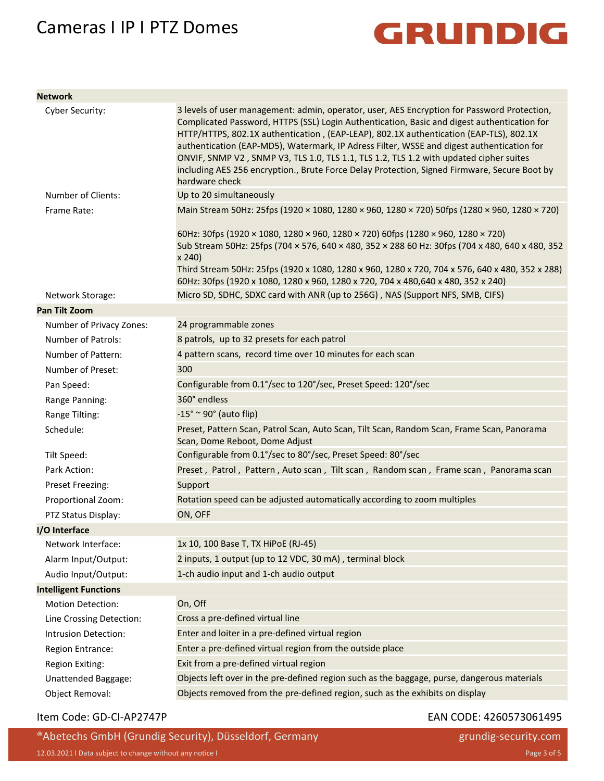

#### **Network**

| Cyber Security:              | 3 levels of user management: admin, operator, user, AES Encryption for Password Protection,<br>Complicated Password, HTTPS (SSL) Login Authentication, Basic and digest authentication for<br>HTTP/HTTPS, 802.1X authentication , (EAP-LEAP), 802.1X authentication (EAP-TLS), 802.1X<br>authentication (EAP-MD5), Watermark, IP Adress Filter, WSSE and digest authentication for<br>ONVIF, SNMP V2, SNMP V3, TLS 1.0, TLS 1.1, TLS 1.2, TLS 1.2 with updated cipher suites<br>including AES 256 encryption., Brute Force Delay Protection, Signed Firmware, Secure Boot by<br>hardware check |
|------------------------------|------------------------------------------------------------------------------------------------------------------------------------------------------------------------------------------------------------------------------------------------------------------------------------------------------------------------------------------------------------------------------------------------------------------------------------------------------------------------------------------------------------------------------------------------------------------------------------------------|
| Number of Clients:           | Up to 20 simultaneously                                                                                                                                                                                                                                                                                                                                                                                                                                                                                                                                                                        |
| Frame Rate:                  | Main Stream 50Hz: 25fps (1920 × 1080, 1280 × 960, 1280 × 720) 50fps (1280 × 960, 1280 × 720)                                                                                                                                                                                                                                                                                                                                                                                                                                                                                                   |
|                              | 60Hz: 30fps (1920 × 1080, 1280 × 960, 1280 × 720) 60fps (1280 × 960, 1280 × 720)<br>Sub Stream 50Hz: 25fps (704 × 576, 640 × 480, 352 × 288 60 Hz: 30fps (704 x 480, 640 x 480, 352<br>x 240)<br>Third Stream 50Hz: 25fps (1920 x 1080, 1280 x 960, 1280 x 720, 704 x 576, 640 x 480, 352 x 288)<br>60Hz: 30fps (1920 x 1080, 1280 x 960, 1280 x 720, 704 x 480, 640 x 480, 352 x 240)                                                                                                                                                                                                         |
| Network Storage:             | Micro SD, SDHC, SDXC card with ANR (up to 256G), NAS (Support NFS, SMB, CIFS)                                                                                                                                                                                                                                                                                                                                                                                                                                                                                                                  |
| <b>Pan Tilt Zoom</b>         |                                                                                                                                                                                                                                                                                                                                                                                                                                                                                                                                                                                                |
| Number of Privacy Zones:     | 24 programmable zones                                                                                                                                                                                                                                                                                                                                                                                                                                                                                                                                                                          |
| <b>Number of Patrols:</b>    | 8 patrols, up to 32 presets for each patrol                                                                                                                                                                                                                                                                                                                                                                                                                                                                                                                                                    |
| Number of Pattern:           | 4 pattern scans, record time over 10 minutes for each scan                                                                                                                                                                                                                                                                                                                                                                                                                                                                                                                                     |
| Number of Preset:            | 300                                                                                                                                                                                                                                                                                                                                                                                                                                                                                                                                                                                            |
| Pan Speed:                   | Configurable from 0.1°/sec to 120°/sec, Preset Speed: 120°/sec                                                                                                                                                                                                                                                                                                                                                                                                                                                                                                                                 |
| Range Panning:               | 360° endless                                                                                                                                                                                                                                                                                                                                                                                                                                                                                                                                                                                   |
| Range Tilting:               | $-15^\circ \simeq 90^\circ$ (auto flip)                                                                                                                                                                                                                                                                                                                                                                                                                                                                                                                                                        |
| Schedule:                    | Preset, Pattern Scan, Patrol Scan, Auto Scan, Tilt Scan, Random Scan, Frame Scan, Panorama<br>Scan, Dome Reboot, Dome Adjust                                                                                                                                                                                                                                                                                                                                                                                                                                                                   |
| Tilt Speed:                  | Configurable from 0.1°/sec to 80°/sec, Preset Speed: 80°/sec                                                                                                                                                                                                                                                                                                                                                                                                                                                                                                                                   |
| Park Action:                 | Preset, Patrol, Pattern, Auto scan, Tilt scan, Random scan, Frame scan, Panorama scan                                                                                                                                                                                                                                                                                                                                                                                                                                                                                                          |
| <b>Preset Freezing:</b>      | Support                                                                                                                                                                                                                                                                                                                                                                                                                                                                                                                                                                                        |
| Proportional Zoom:           | Rotation speed can be adjusted automatically according to zoom multiples                                                                                                                                                                                                                                                                                                                                                                                                                                                                                                                       |
| PTZ Status Display:          | ON, OFF                                                                                                                                                                                                                                                                                                                                                                                                                                                                                                                                                                                        |
| I/O Interface                |                                                                                                                                                                                                                                                                                                                                                                                                                                                                                                                                                                                                |
| Network Interface:           | 1x 10, 100 Base T, TX HiPoE (RJ-45)                                                                                                                                                                                                                                                                                                                                                                                                                                                                                                                                                            |
| Alarm Input/Output:          | 2 inputs, 1 output (up to 12 VDC, 30 mA), terminal block                                                                                                                                                                                                                                                                                                                                                                                                                                                                                                                                       |
| Audio Input/Output:          | 1-ch audio input and 1-ch audio output                                                                                                                                                                                                                                                                                                                                                                                                                                                                                                                                                         |
| <b>Intelligent Functions</b> |                                                                                                                                                                                                                                                                                                                                                                                                                                                                                                                                                                                                |
| <b>Motion Detection:</b>     | On, Off                                                                                                                                                                                                                                                                                                                                                                                                                                                                                                                                                                                        |
| Line Crossing Detection:     | Cross a pre-defined virtual line                                                                                                                                                                                                                                                                                                                                                                                                                                                                                                                                                               |
| Intrusion Detection:         | Enter and loiter in a pre-defined virtual region                                                                                                                                                                                                                                                                                                                                                                                                                                                                                                                                               |
| Region Entrance:             | Enter a pre-defined virtual region from the outside place                                                                                                                                                                                                                                                                                                                                                                                                                                                                                                                                      |
| <b>Region Exiting:</b>       | Exit from a pre-defined virtual region                                                                                                                                                                                                                                                                                                                                                                                                                                                                                                                                                         |
| <b>Unattended Baggage:</b>   | Objects left over in the pre-defined region such as the baggage, purse, dangerous materials                                                                                                                                                                                                                                                                                                                                                                                                                                                                                                    |
| Object Removal:              | Objects removed from the pre-defined region, such as the exhibits on display                                                                                                                                                                                                                                                                                                                                                                                                                                                                                                                   |

### Item Code: GD-CI-AP2747P EAN CODE: 4260573061495

®Abetechs GmbH (Grundig Security), Düsseldorf, Germany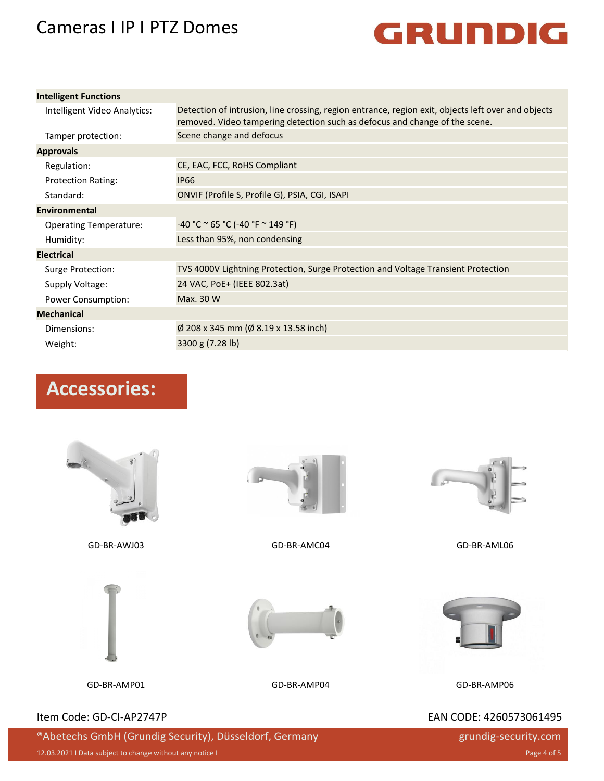

| <b>Intelligent Functions</b>  |                                                                                                                                                                                   |
|-------------------------------|-----------------------------------------------------------------------------------------------------------------------------------------------------------------------------------|
| Intelligent Video Analytics:  | Detection of intrusion, line crossing, region entrance, region exit, objects left over and objects<br>removed. Video tampering detection such as defocus and change of the scene. |
| Tamper protection:            | Scene change and defocus                                                                                                                                                          |
| <b>Approvals</b>              |                                                                                                                                                                                   |
| Regulation:                   | CE, EAC, FCC, RoHS Compliant                                                                                                                                                      |
| <b>Protection Rating:</b>     | <b>IP66</b>                                                                                                                                                                       |
| Standard:                     | ONVIF (Profile S, Profile G), PSIA, CGI, ISAPI                                                                                                                                    |
| <b>Environmental</b>          |                                                                                                                                                                                   |
| <b>Operating Temperature:</b> | $-40 °C \approx 65 °C (-40 °F \approx 149 °F)$                                                                                                                                    |
| Humidity:                     | Less than 95%, non condensing                                                                                                                                                     |
| <b>Electrical</b>             |                                                                                                                                                                                   |
| Surge Protection:             | TVS 4000V Lightning Protection, Surge Protection and Voltage Transient Protection                                                                                                 |
| Supply Voltage:               | 24 VAC, PoE+ (IEEE 802.3at)                                                                                                                                                       |
| Power Consumption:            | Max. 30 W                                                                                                                                                                         |
| <b>Mechanical</b>             |                                                                                                                                                                                   |
| Dimensions:                   | $\varphi$ 208 x 345 mm ( $\varphi$ 8.19 x 13.58 inch)                                                                                                                             |
| Weight:                       | 3300 g (7.28 lb)                                                                                                                                                                  |
|                               |                                                                                                                                                                                   |

## **Accessories:**







GD-BR-AWJ03 GD-BR-AMC04 GD-BR-AML06





GD-BR-AMP01 GD-BR-AMP04 GD-BR-AMP06

### Item Code: GD-CI-AP2747P EAN CODE: 4260573061495

®Abetechs GmbH (Grundig Security), Düsseldorf, Germany

12.03.2021 I Data subject to change without any notice I Page 4 of 5